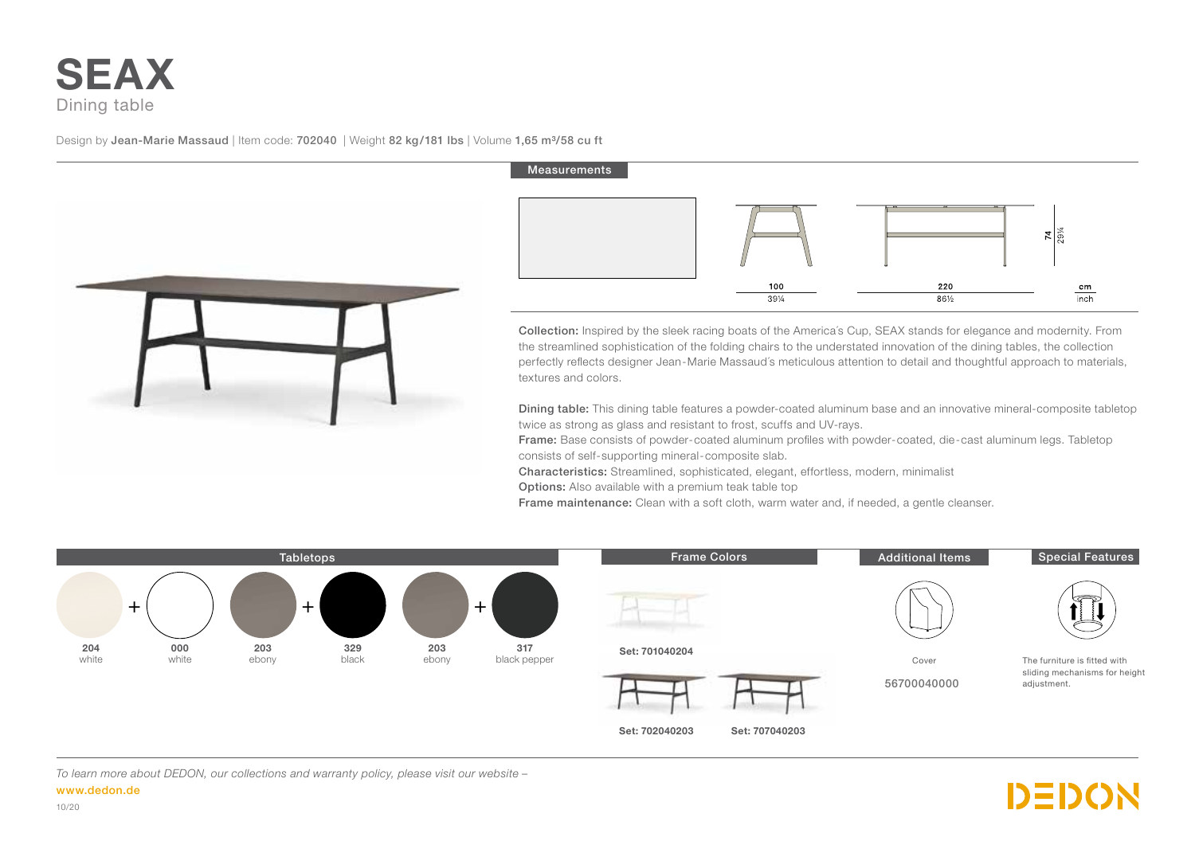## **SEAX** Dining table

Design by Jean-Marie Massaud | Item code: 702040 | Weight 82 kg/181 lbs | Volume 1,65 m<sup>3</sup>/58 cu ft



## Measurements



Collection: Inspired by the sleek racing boats of the America´s Cup, SEAX stands for elegance and modernity. From the streamlined sophistication of the folding chairs to the understated innovation of the dining tables, the collection perfectly reflects designer Jean-Marie Massaud´s meticulous attention to detail and thoughtful approach to materials, textures and colors.

Dining table: This dining table features a powder-coated aluminum base and an innovative mineral-composite tabletop twice as strong as glass and resistant to frost, scuffs and UV-rays.

DEDON

Frame: Base consists of powder-coated aluminum profiles with powder-coated, die-cast aluminum legs. Tabletop consists of self-supporting mineral-composite slab.

Characteristics: Streamlined, sophisticated, elegant, effortless, modern, minimalist

Options: Also available with a premium teak table top

Frame maintenance: Clean with a soft cloth, warm water and, if needed, a gentle cleanser.



*To learn more about DEDON, our collections and warranty policy, please visit our website –*